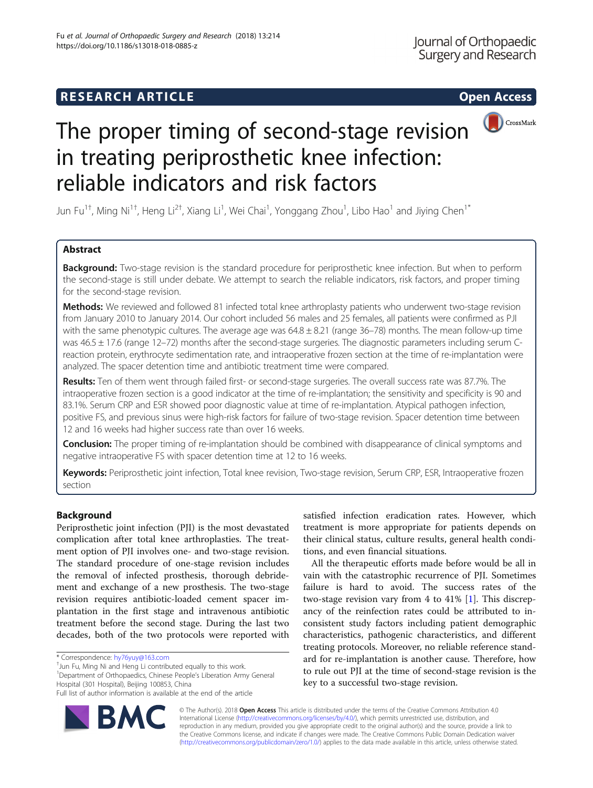

# The proper timing of second-stage revision in treating periprosthetic knee infection: reliable indicators and risk factors

Jun Fu<sup>1†</sup>, Ming Ni<sup>1†</sup>, Heng Li<sup>2†</sup>, Xiang Li<sup>1</sup>, Wei Chai<sup>1</sup>, Yonggang Zhou<sup>1</sup>, Libo Hao<sup>1</sup> and Jiying Chen<sup>1\*</sup>

# Abstract

Background: Two-stage revision is the standard procedure for periprosthetic knee infection. But when to perform the second-stage is still under debate. We attempt to search the reliable indicators, risk factors, and proper timing for the second-stage revision.

Methods: We reviewed and followed 81 infected total knee arthroplasty patients who underwent two-stage revision from January 2010 to January 2014. Our cohort included 56 males and 25 females, all patients were confirmed as PJI with the same phenotypic cultures. The average age was  $64.8 \pm 8.21$  (range 36–78) months. The mean follow-up time was 46.5 ± 17.6 (range 12–72) months after the second-stage surgeries. The diagnostic parameters including serum Creaction protein, erythrocyte sedimentation rate, and intraoperative frozen section at the time of re-implantation were analyzed. The spacer detention time and antibiotic treatment time were compared.

Results: Ten of them went through failed first- or second-stage surgeries. The overall success rate was 87.7%. The intraoperative frozen section is a good indicator at the time of re-implantation; the sensitivity and specificity is 90 and 83.1%. Serum CRP and ESR showed poor diagnostic value at time of re-implantation. Atypical pathogen infection, positive FS, and previous sinus were high-risk factors for failure of two-stage revision. Spacer detention time between 12 and 16 weeks had higher success rate than over 16 weeks.

**Conclusion:** The proper timing of re-implantation should be combined with disappearance of clinical symptoms and negative intraoperative FS with spacer detention time at 12 to 16 weeks.

Keywords: Periprosthetic joint infection, Total knee revision, Two-stage revision, Serum CRP, ESR, Intraoperative frozen section

# Background

Periprosthetic joint infection (PJI) is the most devastated complication after total knee arthroplasties. The treatment option of PJI involves one- and two-stage revision. The standard procedure of one-stage revision includes the removal of infected prosthesis, thorough debridement and exchange of a new prosthesis. The two-stage revision requires antibiotic-loaded cement spacer implantation in the first stage and intravenous antibiotic treatment before the second stage. During the last two decades, both of the two protocols were reported with

 $^{\dagger}$ Jun Fu, Ming Ni and Heng Li contributed equally to this work. <sup>1</sup>Department of Orthopaedics, Chinese People's Liberation Army General Hospital (301 Hospital), Beijing 100853, China

satisfied infection eradication rates. However, which treatment is more appropriate for patients depends on their clinical status, culture results, general health conditions, and even financial situations.

All the therapeutic efforts made before would be all in vain with the catastrophic recurrence of PJI. Sometimes failure is hard to avoid. The success rates of the two-stage revision vary from 4 to 41% [\[1](#page-6-0)]. This discrepancy of the reinfection rates could be attributed to inconsistent study factors including patient demographic characteristics, pathogenic characteristics, and different treating protocols. Moreover, no reliable reference standard for re-implantation is another cause. Therefore, how to rule out PJI at the time of second-stage revision is the key to a successful two-stage revision.



© The Author(s). 2018 Open Access This article is distributed under the terms of the Creative Commons Attribution 4.0 International License [\(http://creativecommons.org/licenses/by/4.0/](http://creativecommons.org/licenses/by/4.0/)), which permits unrestricted use, distribution, and reproduction in any medium, provided you give appropriate credit to the original author(s) and the source, provide a link to the Creative Commons license, and indicate if changes were made. The Creative Commons Public Domain Dedication waiver [\(http://creativecommons.org/publicdomain/zero/1.0/](http://creativecommons.org/publicdomain/zero/1.0/)) applies to the data made available in this article, unless otherwise stated.

<sup>\*</sup> Correspondence: [hy76yuy@163.com](mailto:hy76yuy@163.com) †

Full list of author information is available at the end of the article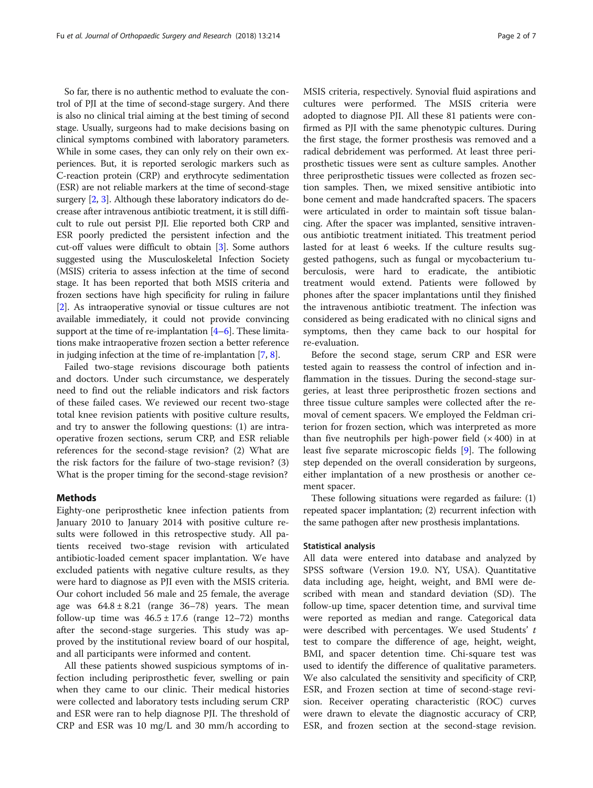So far, there is no authentic method to evaluate the control of PJI at the time of second-stage surgery. And there is also no clinical trial aiming at the best timing of second stage. Usually, surgeons had to make decisions basing on clinical symptoms combined with laboratory parameters. While in some cases, they can only rely on their own experiences. But, it is reported serologic markers such as C-reaction protein (CRP) and erythrocyte sedimentation (ESR) are not reliable markers at the time of second-stage surgery [\[2,](#page-6-0) [3\]](#page-6-0). Although these laboratory indicators do decrease after intravenous antibiotic treatment, it is still difficult to rule out persist PJI. Elie reported both CRP and ESR poorly predicted the persistent infection and the cut-off values were difficult to obtain [[3](#page-6-0)]. Some authors suggested using the Musculoskeletal Infection Society (MSIS) criteria to assess infection at the time of second stage. It has been reported that both MSIS criteria and frozen sections have high specificity for ruling in failure [[2\]](#page-6-0). As intraoperative synovial or tissue cultures are not available immediately, it could not provide convincing support at the time of re-implantation [\[4](#page-6-0)–[6\]](#page-6-0). These limitations make intraoperative frozen section a better reference in judging infection at the time of re-implantation [[7,](#page-6-0) [8](#page-6-0)].

Failed two-stage revisions discourage both patients and doctors. Under such circumstance, we desperately need to find out the reliable indicators and risk factors of these failed cases. We reviewed our recent two-stage total knee revision patients with positive culture results, and try to answer the following questions: (1) are intraoperative frozen sections, serum CRP, and ESR reliable references for the second-stage revision? (2) What are the risk factors for the failure of two-stage revision? (3) What is the proper timing for the second-stage revision?

## Methods

Eighty-one periprosthetic knee infection patients from January 2010 to January 2014 with positive culture results were followed in this retrospective study. All patients received two-stage revision with articulated antibiotic-loaded cement spacer implantation. We have excluded patients with negative culture results, as they were hard to diagnose as PJI even with the MSIS criteria. Our cohort included 56 male and 25 female, the average age was  $64.8 \pm 8.21$  (range  $36-78$ ) years. The mean follow-up time was  $46.5 \pm 17.6$  (range  $12-72$ ) months after the second-stage surgeries. This study was approved by the institutional review board of our hospital, and all participants were informed and content.

All these patients showed suspicious symptoms of infection including periprosthetic fever, swelling or pain when they came to our clinic. Their medical histories were collected and laboratory tests including serum CRP and ESR were ran to help diagnose PJI. The threshold of CRP and ESR was 10 mg/L and 30 mm/h according to MSIS criteria, respectively. Synovial fluid aspirations and cultures were performed. The MSIS criteria were adopted to diagnose PJI. All these 81 patients were confirmed as PJI with the same phenotypic cultures. During the first stage, the former prosthesis was removed and a radical debridement was performed. At least three periprosthetic tissues were sent as culture samples. Another three periprosthetic tissues were collected as frozen section samples. Then, we mixed sensitive antibiotic into bone cement and made handcrafted spacers. The spacers were articulated in order to maintain soft tissue balancing. After the spacer was implanted, sensitive intravenous antibiotic treatment initiated. This treatment period lasted for at least 6 weeks. If the culture results suggested pathogens, such as fungal or mycobacterium tuberculosis, were hard to eradicate, the antibiotic treatment would extend. Patients were followed by phones after the spacer implantations until they finished the intravenous antibiotic treatment. The infection was considered as being eradicated with no clinical signs and symptoms, then they came back to our hospital for re-evaluation.

Before the second stage, serum CRP and ESR were tested again to reassess the control of infection and inflammation in the tissues. During the second-stage surgeries, at least three periprosthetic frozen sections and three tissue culture samples were collected after the removal of cement spacers. We employed the Feldman criterion for frozen section, which was interpreted as more than five neutrophils per high-power field  $(x 400)$  in at least five separate microscopic fields [[9\]](#page-6-0). The following step depended on the overall consideration by surgeons, either implantation of a new prosthesis or another cement spacer.

These following situations were regarded as failure: (1) repeated spacer implantation; (2) recurrent infection with the same pathogen after new prosthesis implantations.

## Statistical analysis

All data were entered into database and analyzed by SPSS software (Version 19.0. NY, USA). Quantitative data including age, height, weight, and BMI were described with mean and standard deviation (SD). The follow-up time, spacer detention time, and survival time were reported as median and range. Categorical data were described with percentages. We used Students' t test to compare the difference of age, height, weight, BMI, and spacer detention time. Chi-square test was used to identify the difference of qualitative parameters. We also calculated the sensitivity and specificity of CRP, ESR, and Frozen section at time of second-stage revision. Receiver operating characteristic (ROC) curves were drawn to elevate the diagnostic accuracy of CRP, ESR, and frozen section at the second-stage revision.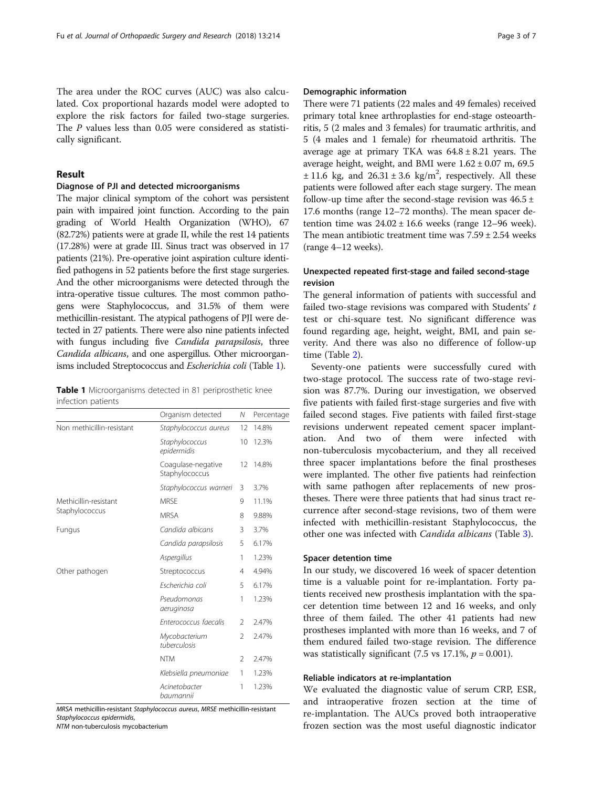The area under the ROC curves (AUC) was also calculated. Cox proportional hazards model were adopted to explore the risk factors for failed two-stage surgeries. The P values less than 0.05 were considered as statistically significant.

# Result

## Diagnose of PJI and detected microorganisms

The major clinical symptom of the cohort was persistent pain with impaired joint function. According to the pain grading of World Health Organization (WHO), 67 (82.72%) patients were at grade II, while the rest 14 patients (17.28%) were at grade III. Sinus tract was observed in 17 patients (21%). Pre-operative joint aspiration culture identified pathogens in 52 patients before the first stage surgeries. And the other microorganisms were detected through the intra-operative tissue cultures. The most common pathogens were Staphylococcus, and 31.5% of them were methicillin-resistant. The atypical pathogens of PJI were detected in 27 patients. There were also nine patients infected with fungus including five Candida parapsilosis, three Candida albicans, and one aspergillus. Other microorganisms included Streptococcus and Escherichia coli (Table 1).

Table 1 Microorganisms detected in 81 periprosthetic knee infection patients

|                           | Organism detected                    | Ν              | Percentage |
|---------------------------|--------------------------------------|----------------|------------|
| Non methicillin-resistant | Staphylococcus aureus                | 12             | 14.8%      |
|                           | Staphylococcus<br>epidermidis        | 10             | 12.3%      |
|                           | Coagulase-negative<br>Staphylococcus | 12             | 14.8%      |
|                           | Staphylococcus warneri               | 3              | 3.7%       |
| Methicillin-resistant     | <b>MRSF</b>                          | 9              | 11.1%      |
| Staphylococcus            | <b>MRSA</b>                          | 8              | 9.88%      |
| Fungus                    | Candida albicans                     | 3              | 3.7%       |
|                           | Candida parapsilosis                 |                | 6.17%      |
|                           | Aspergillus                          | 1              | 1.23%      |
| Other pathogen            | Streptococcus                        | 4              | 4.94%      |
|                           | Escherichia coli                     |                | 6.17%      |
|                           | Pseudomonas<br>aeruginosa            | 1              | 1.23%      |
|                           | Enterococcus faecalis                | $\mathfrak{D}$ | 2.47%      |
|                           | Mycobacterium<br>tuberculosis        | $\overline{2}$ | 2.47%      |
|                           | <b>NTM</b>                           | 2              | 2.47%      |
|                           | Klebsiella pneumoniae                | 1              | 1.23%      |
|                           | Acinetobacter<br>baumannii           | 1              | 1.23%      |

MRSA methicillin-resistant Staphylococcus aureus, MRSE methicillin-resistant Staphylococcus epidermidis,

NTM non-tuberculosis mycobacterium

# Demographic information

There were 71 patients (22 males and 49 females) received primary total knee arthroplasties for end-stage osteoarthritis, 5 (2 males and 3 females) for traumatic arthritis, and 5 (4 males and 1 female) for rheumatoid arthritis. The average age at primary TKA was  $64.8 \pm 8.21$  years. The average height, weight, and BMI were  $1.62 \pm 0.07$  m, 69.5  $\pm$  11.6 kg, and 26.31  $\pm$  3.6 kg/m<sup>2</sup>, respectively. All these patients were followed after each stage surgery. The mean follow-up time after the second-stage revision was  $46.5 \pm$ 17.6 months (range 12–72 months). The mean spacer detention time was  $24.02 \pm 16.6$  weeks (range 12–96 week). The mean antibiotic treatment time was  $7.59 \pm 2.54$  weeks (range 4–12 weeks).

# Unexpected repeated first-stage and failed second-stage revision

The general information of patients with successful and failed two-stage revisions was compared with Students' t test or chi-square test. No significant difference was found regarding age, height, weight, BMI, and pain severity. And there was also no difference of follow-up time (Table [2](#page-3-0)).

Seventy-one patients were successfully cured with two-stage protocol. The success rate of two-stage revision was 87.7%. During our investigation, we observed five patients with failed first-stage surgeries and five with failed second stages. Five patients with failed first-stage revisions underwent repeated cement spacer implantation. And two of them were infected with non-tuberculosis mycobacterium, and they all received three spacer implantations before the final prostheses were implanted. The other five patients had reinfection with same pathogen after replacements of new prostheses. There were three patients that had sinus tract recurrence after second-stage revisions, two of them were infected with methicillin-resistant Staphylococcus, the other one was infected with Candida albicans (Table [3](#page-3-0)).

# Spacer detention time

In our study, we discovered 16 week of spacer detention time is a valuable point for re-implantation. Forty patients received new prosthesis implantation with the spacer detention time between 12 and 16 weeks, and only three of them failed. The other 41 patients had new prostheses implanted with more than 16 weeks, and 7 of them endured failed two-stage revision. The difference was statistically significant (7.5 vs 17.1%,  $p = 0.001$ ).

# Reliable indicators at re-implantation

We evaluated the diagnostic value of serum CRP, ESR, and intraoperative frozen section at the time of re-implantation. The AUCs proved both intraoperative frozen section was the most useful diagnostic indicator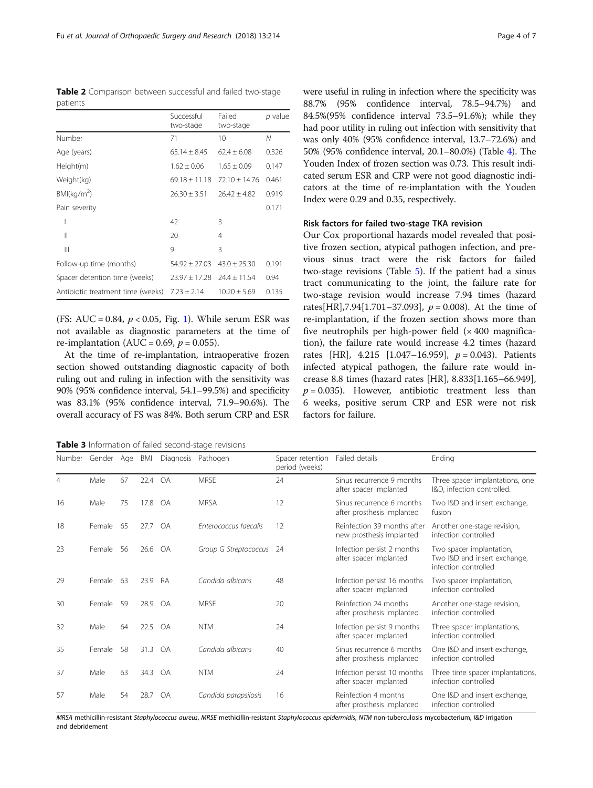<span id="page-3-0"></span>Table 2 Comparison between successful and failed two-stage patients

|                                   | Successful<br>two-stage | Failed<br>two-stage | p value |
|-----------------------------------|-------------------------|---------------------|---------|
| Number                            | 71                      | 10                  | N       |
| Age (years)                       | $65.14 + 8.45$          | $62.4 + 6.08$       | 0.326   |
| Height(m)                         | $1.62 \pm 0.06$         | $1.65 \pm 0.09$     | 0.147   |
| Weight(kg)                        | $69.18 + 11.18$         | $72.10 + 14.76$     | 0.461   |
| BMl(kq/m <sup>2</sup> )           | $26.30 \pm 3.51$        | $26.42 \pm 4.82$    | 0.919   |
| Pain severity                     |                         |                     | 0.171   |
| ı                                 | 42                      | 3                   |         |
| $\mathsf{I}$                      | 20                      | 4                   |         |
| Ш                                 | $\mathsf{Q}$            | 3                   |         |
| Follow-up time (months)           | $54.92 \pm 27.03$       | $43.0 + 25.30$      | 0.191   |
| Spacer detention time (weeks)     | $23.97 \pm 17.28$       | $74.4 + 11.54$      | 0.94    |
| Antibiotic treatment time (weeks) | $7.23 \pm 2.14$         | $10.20 \pm 5.69$    | 0.135   |

(FS: AUC = 0.84,  $p < 0.05$ , Fig. [1\)](#page-4-0). While serum ESR was not available as diagnostic parameters at the time of re-implantation (AUC = 0.69,  $p = 0.055$ ).

At the time of re-implantation, intraoperative frozen section showed outstanding diagnostic capacity of both ruling out and ruling in infection with the sensitivity was 90% (95% confidence interval, 54.1–99.5%) and specificity was 83.1% (95% confidence interval, 71.9–90.6%). The overall accuracy of FS was 84%. Both serum CRP and ESR

Table 3 Information of failed second-stage revisions

were useful in ruling in infection where the specificity was 88.7% (95% confidence interval, 78.5–94.7%) and 84.5%(95% confidence interval 73.5–91.6%); while they had poor utility in ruling out infection with sensitivity that was only 40% (95% confidence interval, 13.7–72.6%) and 50% (95% confidence interval, 20.1–80.0%) (Table [4](#page-5-0)). The Youden Index of frozen section was 0.73. This result indicated serum ESR and CRP were not good diagnostic indicators at the time of re-implantation with the Youden Index were 0.29 and 0.35, respectively.

# Risk factors for failed two-stage TKA revision

Our Cox proportional hazards model revealed that positive frozen section, atypical pathogen infection, and previous sinus tract were the risk factors for failed two-stage revisions (Table [5\)](#page-5-0). If the patient had a sinus tract communicating to the joint, the failure rate for two-stage revision would increase 7.94 times (hazard rates[HR],7.94[1.701–37.093],  $p = 0.008$ ). At the time of re-implantation, if the frozen section shows more than five neutrophils per high-power field  $(x 400$  magnification), the failure rate would increase 4.2 times (hazard rates [HR],  $4.215$  [1.047-16.959],  $p = 0.043$ ]. Patients infected atypical pathogen, the failure rate would increase 8.8 times (hazard rates [HR], 8.833[1.165–66.949],  $p = 0.035$ ). However, antibiotic treatment less than 6 weeks, positive serum CRP and ESR were not risk factors for failure.

| Number         | Gender Age    |    | BMI  | Diagnosis | Pathogen              | Spacer retention<br>period (weeks) | Failed details                                          | Ending                                                                           |
|----------------|---------------|----|------|-----------|-----------------------|------------------------------------|---------------------------------------------------------|----------------------------------------------------------------------------------|
| $\overline{4}$ | Male          | 67 | 22.4 | OA        | <b>MRSF</b>           | 24                                 | Sinus recurrence 9 months<br>after spacer implanted     | Three spacer implantations, one<br>I&D, infection controlled.                    |
| 16             | Male          | 75 | 17.8 | <b>OA</b> | <b>MRSA</b>           | 12                                 | Sinus recurrence 6 months<br>after prosthesis implanted | Two I&D and insert exchange,<br>fusion                                           |
| 18             | <b>Female</b> | 65 | 27.7 | <b>OA</b> | Enterococcus faecalis | 12                                 | Reinfection 39 months after<br>new prosthesis implanted | Another one-stage revision,<br>infection controlled                              |
| 23             | Female        | 56 | 26.6 | OA        | Group G Streptococcus | -24                                | Infection persist 2 months<br>after spacer implanted    | Two spacer implantation,<br>Two I&D and insert exchange,<br>infection controlled |
| 29             | Female        | 63 | 23.9 | RA        | Candida albicans      | 48                                 | Infection persist 16 months<br>after spacer implanted   | Two spacer implantation,<br>infection controlled                                 |
| 30             | Female        | 59 | 28.9 | OA        | <b>MRSE</b>           | 20                                 | Reinfection 24 months<br>after prosthesis implanted     | Another one-stage revision,<br>infection controlled                              |
| 32             | Male          | 64 | 22.5 | <b>OA</b> | <b>NTM</b>            | 24                                 | Infection persist 9 months<br>after spacer implanted    | Three spacer implantations,<br>infection controlled.                             |
| 35             | <b>Female</b> | 58 | 31.3 | <b>OA</b> | Candida albicans      | 40                                 | Sinus recurrence 6 months<br>after prosthesis implanted | One I&D and insert exchange,<br>infection controlled                             |
| 37             | Male          | 63 | 34.3 | <b>OA</b> | <b>NTM</b>            | 24                                 | Infection persist 10 months<br>after spacer implanted   | Three time spacer implantations,<br>infection controlled                         |
| 57             | Male          | 54 | 28.7 | <b>OA</b> | Candida parapsilosis  | 16                                 | Reinfection 4 months<br>after prosthesis implanted      | One I&D and insert exchange,<br>infection controlled                             |

MRSA methicillin-resistant Staphylococcus aureus, MRSE methicillin-resistant Staphylococcus epidermidis, NTM non-tuberculosis mycobacterium, I&D irrigation and debridement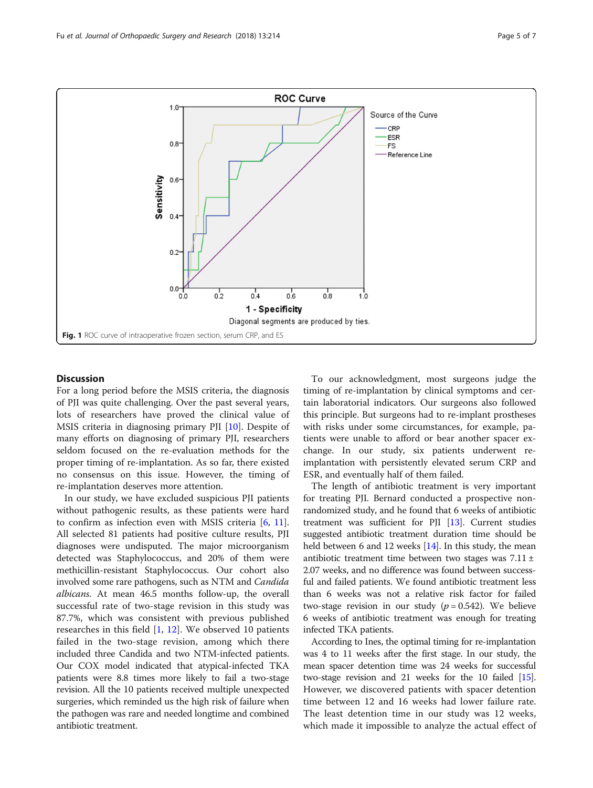<span id="page-4-0"></span>

## **Discussion**

For a long period before the MSIS criteria, the diagnosis of PJI was quite challenging. Over the past several years, lots of researchers have proved the clinical value of MSIS criteria in diagnosing primary PJI [\[10](#page-6-0)]. Despite of many efforts on diagnosing of primary PJI, researchers seldom focused on the re-evaluation methods for the proper timing of re-implantation. As so far, there existed no consensus on this issue. However, the timing of re-implantation deserves more attention.

In our study, we have excluded suspicious PJI patients without pathogenic results, as these patients were hard to confirm as infection even with MSIS criteria  $[6, 11]$  $[6, 11]$  $[6, 11]$  $[6, 11]$ . All selected 81 patients had positive culture results, PJI diagnoses were undisputed. The major microorganism detected was Staphylococcus, and 20% of them were methicillin-resistant Staphylococcus. Our cohort also involved some rare pathogens, such as NTM and Candida albicans. At mean 46.5 months follow-up, the overall successful rate of two-stage revision in this study was 87.7%, which was consistent with previous published researches in this field  $[1, 12]$  $[1, 12]$  $[1, 12]$ . We observed 10 patients failed in the two-stage revision, among which there included three Candida and two NTM-infected patients. Our COX model indicated that atypical-infected TKA patients were 8.8 times more likely to fail a two-stage revision. All the 10 patients received multiple unexpected surgeries, which reminded us the high risk of failure when the pathogen was rare and needed longtime and combined antibiotic treatment.

To our acknowledgment, most surgeons judge the timing of re-implantation by clinical symptoms and certain laboratorial indicators. Our surgeons also followed this principle. But surgeons had to re-implant prostheses with risks under some circumstances, for example, patients were unable to afford or bear another spacer exchange. In our study, six patients underwent reimplantation with persistently elevated serum CRP and ESR, and eventually half of them failed.

The length of antibiotic treatment is very important for treating PJI. Bernard conducted a prospective nonrandomized study, and he found that 6 weeks of antibiotic treatment was sufficient for PJI [\[13\]](#page-6-0). Current studies suggested antibiotic treatment duration time should be held between 6 and 12 weeks [\[14](#page-6-0)]. In this study, the mean antibiotic treatment time between two stages was  $7.11 \pm$ 2.07 weeks, and no difference was found between successful and failed patients. We found antibiotic treatment less than 6 weeks was not a relative risk factor for failed two-stage revision in our study ( $p = 0.542$ ). We believe 6 weeks of antibiotic treatment was enough for treating infected TKA patients.

According to Ines, the optimal timing for re-implantation was 4 to 11 weeks after the first stage. In our study, the mean spacer detention time was 24 weeks for successful two-stage revision and 21 weeks for the 10 failed [\[15](#page-6-0)]. However, we discovered patients with spacer detention time between 12 and 16 weeks had lower failure rate. The least detention time in our study was 12 weeks, which made it impossible to analyze the actual effect of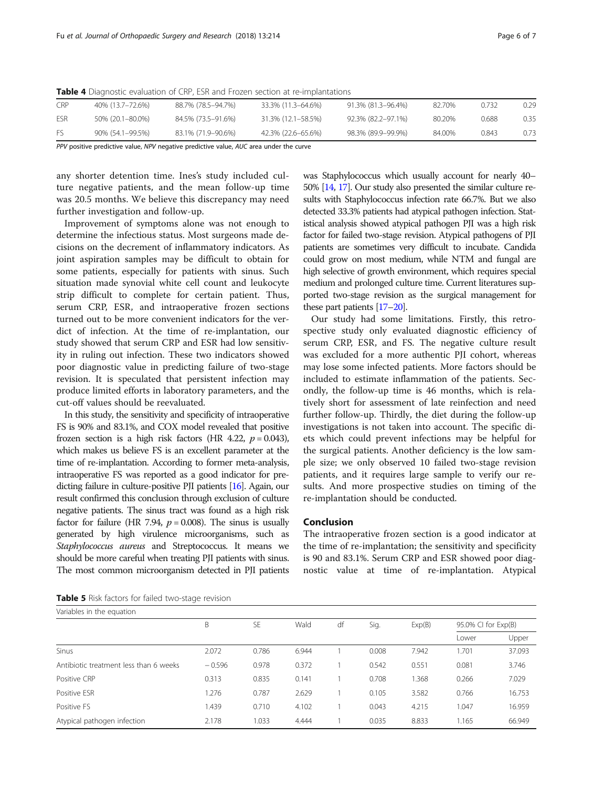| <b>CRP</b> | 40% (13.7–72.6%) | 88.7% (78.5–94.7%) | 33.3% (11.3–64.6%) | 91.3% (81.3–96.4%) | 82.70% | 0.732 | 0.29 |
|------------|------------------|--------------------|--------------------|--------------------|--------|-------|------|
| ESR        | 50% (20.1-80.0%) | 84.5% (73.5–91.6%) | 31.3% (12.1–58.5%) | 92.3% (82.2–97.1%) | 80.20% | 0.688 | 0.35 |
| Fς         | 90% (54.1-99.5%) | 83.1% (71.9–90.6%) | 42.3% (22.6–65.6%) | 98.3% (89.9–99.9%) | 84.00% | 0.843 | 0.73 |

<span id="page-5-0"></span>Table 4 Diagnostic evaluation of CRP, ESR and Frozen section at re-implantations

PPV positive predictive value, NPV negative predictive value, AUC area under the curve

any shorter detention time. Ines's study included culture negative patients, and the mean follow-up time was 20.5 months. We believe this discrepancy may need further investigation and follow-up.

Improvement of symptoms alone was not enough to determine the infectious status. Most surgeons made decisions on the decrement of inflammatory indicators. As joint aspiration samples may be difficult to obtain for some patients, especially for patients with sinus. Such situation made synovial white cell count and leukocyte strip difficult to complete for certain patient. Thus, serum CRP, ESR, and intraoperative frozen sections turned out to be more convenient indicators for the verdict of infection. At the time of re-implantation, our study showed that serum CRP and ESR had low sensitivity in ruling out infection. These two indicators showed poor diagnostic value in predicting failure of two-stage revision. It is speculated that persistent infection may produce limited efforts in laboratory parameters, and the cut-off values should be reevaluated.

In this study, the sensitivity and specificity of intraoperative FS is 90% and 83.1%, and COX model revealed that positive frozen section is a high risk factors (HR 4.22,  $p = 0.043$ ), which makes us believe FS is an excellent parameter at the time of re-implantation. According to former meta-analysis, intraoperative FS was reported as a good indicator for predicting failure in culture-positive PJI patients [\[16](#page-6-0)]. Again, our result confirmed this conclusion through exclusion of culture negative patients. The sinus tract was found as a high risk factor for failure (HR 7.94,  $p = 0.008$ ). The sinus is usually generated by high virulence microorganisms, such as Staphylococcus aureus and Streptococcus. It means we should be more careful when treating PJI patients with sinus. The most common microorganism detected in PJI patients was Staphylococcus which usually account for nearly 40– 50% [\[14](#page-6-0), [17](#page-6-0)]. Our study also presented the similar culture results with Staphylococcus infection rate 66.7%. But we also detected 33.3% patients had atypical pathogen infection. Statistical analysis showed atypical pathogen PJI was a high risk factor for failed two-stage revision. Atypical pathogens of PJI patients are sometimes very difficult to incubate. Candida could grow on most medium, while NTM and fungal are high selective of growth environment, which requires special medium and prolonged culture time. Current literatures supported two-stage revision as the surgical management for these part patients [\[17](#page-6-0)–[20](#page-6-0)].

Our study had some limitations. Firstly, this retrospective study only evaluated diagnostic efficiency of serum CRP, ESR, and FS. The negative culture result was excluded for a more authentic PJI cohort, whereas may lose some infected patients. More factors should be included to estimate inflammation of the patients. Secondly, the follow-up time is 46 months, which is relatively short for assessment of late reinfection and need further follow-up. Thirdly, the diet during the follow-up investigations is not taken into account. The specific diets which could prevent infections may be helpful for the surgical patients. Another deficiency is the low sample size; we only observed 10 failed two-stage revision patients, and it requires large sample to verify our results. And more prospective studies on timing of the re-implantation should be conducted.

## Conclusion

The intraoperative frozen section is a good indicator at the time of re-implantation; the sensitivity and specificity is 90 and 83.1%. Serum CRP and ESR showed poor diagnostic value at time of re-implantation. Atypical

Table 5 Risk factors for failed two-stage revision

| Variables in the equation              |          |           |       |    |       |        |                     |        |  |  |
|----------------------------------------|----------|-----------|-------|----|-------|--------|---------------------|--------|--|--|
|                                        | B        | <b>SE</b> | Wald  | df | Sig.  | Exp(B) | 95.0% CI for Exp(B) |        |  |  |
|                                        |          |           |       |    |       |        | Lower               | Upper  |  |  |
| <b>Sinus</b>                           | 2.072    | 0.786     | 6.944 |    | 0.008 | 7.942  | 1.701               | 37.093 |  |  |
| Antibiotic treatment less than 6 weeks | $-0.596$ | 0.978     | 0.372 |    | 0.542 | 0.551  | 0.081               | 3.746  |  |  |
| Positive CRP                           | 0.313    | 0.835     | 0.141 |    | 0.708 | 1.368  | 0.266               | 7.029  |  |  |
| Positive ESR                           | 1.276    | 0.787     | 2.629 |    | 0.105 | 3.582  | 0.766               | 16.753 |  |  |
| Positive FS                            | 1.439    | 0.710     | 4.102 |    | 0.043 | 4.215  | 1.047               | 16.959 |  |  |
| Atypical pathogen infection            | 2.178    | 1.033     | 4.444 |    | 0.035 | 8.833  | 1.165               | 66.949 |  |  |